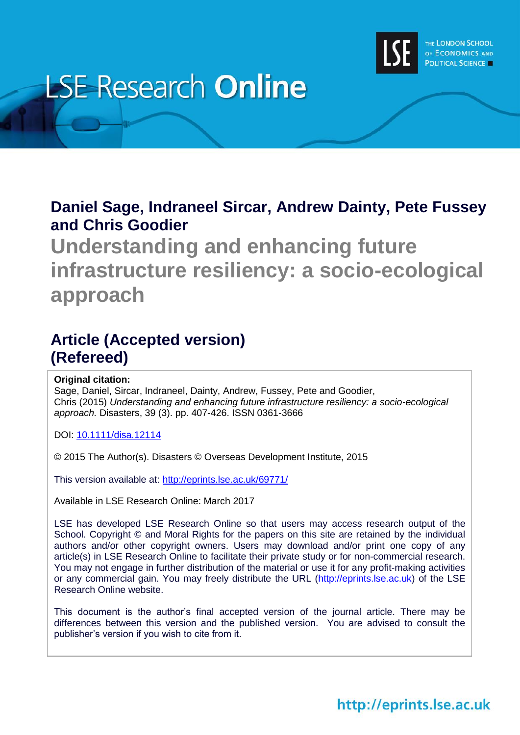

# **LSE Research Online**

## **Daniel Sage, Indraneel Sircar, Andrew Dainty, Pete Fussey and Chris Goodier**

**Understanding and enhancing future infrastructure resiliency: a socio-ecological approach**

# **Article (Accepted version) (Refereed)**

## **Original citation:**

Sage, Daniel, Sircar, Indraneel, Dainty, Andrew, Fussey, Pete and Goodier, Chris (2015) *Understanding and enhancing future infrastructure resiliency: a socio-ecological approach.* Disasters, 39 (3). pp. 407-426. ISSN 0361-3666

DOI: [10.1111/disa.12114](http://dx.doi.org/10.1111/disa.12114)

© 2015 The Author(s). Disasters © Overseas Development Institute, 2015

This version available at:<http://eprints.lse.ac.uk/69771/>

Available in LSE Research Online: March 2017

LSE has developed LSE Research Online so that users may access research output of the School. Copyright © and Moral Rights for the papers on this site are retained by the individual authors and/or other copyright owners. Users may download and/or print one copy of any article(s) in LSE Research Online to facilitate their private study or for non-commercial research. You may not engage in further distribution of the material or use it for any profit-making activities or any commercial gain. You may freely distribute the URL (http://eprints.lse.ac.uk) of the LSE Research Online website.

This document is the author's final accepted version of the journal article. There may be differences between this version and the published version. You are advised to consult the publisher's version if you wish to cite from it.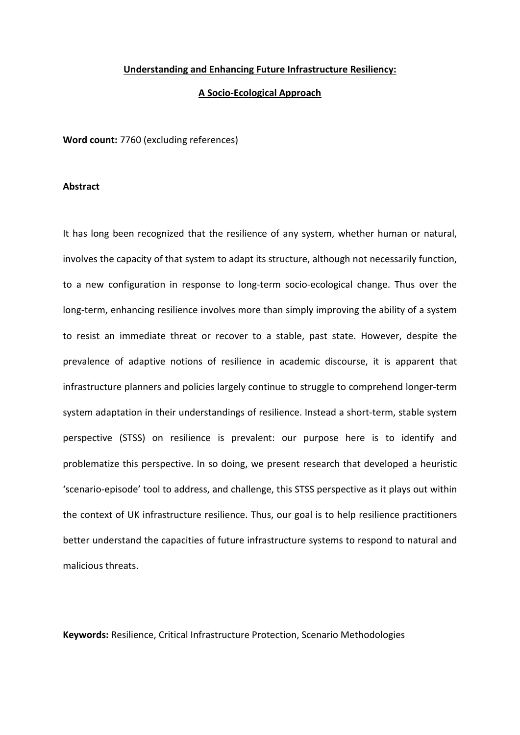#### **Understanding and Enhancing Future Infrastructure Resiliency:**

#### **A Socio-Ecological Approach**

**Word count:** 7760 (excluding references)

#### **Abstract**

It has long been recognized that the resilience of any system, whether human or natural, involves the capacity of that system to adapt its structure, although not necessarily function, to a new configuration in response to long-term socio-ecological change. Thus over the long-term, enhancing resilience involves more than simply improving the ability of a system to resist an immediate threat or recover to a stable, past state. However, despite the prevalence of adaptive notions of resilience in academic discourse, it is apparent that infrastructure planners and policies largely continue to struggle to comprehend longer-term system adaptation in their understandings of resilience. Instead a short-term, stable system perspective (STSS) on resilience is prevalent: our purpose here is to identify and problematize this perspective. In so doing, we present research that developed a heuristic 'scenario-episode' tool to address, and challenge, this STSS perspective as it plays out within the context of UK infrastructure resilience. Thus, our goal is to help resilience practitioners better understand the capacities of future infrastructure systems to respond to natural and malicious threats.

**Keywords:** Resilience, Critical Infrastructure Protection, Scenario Methodologies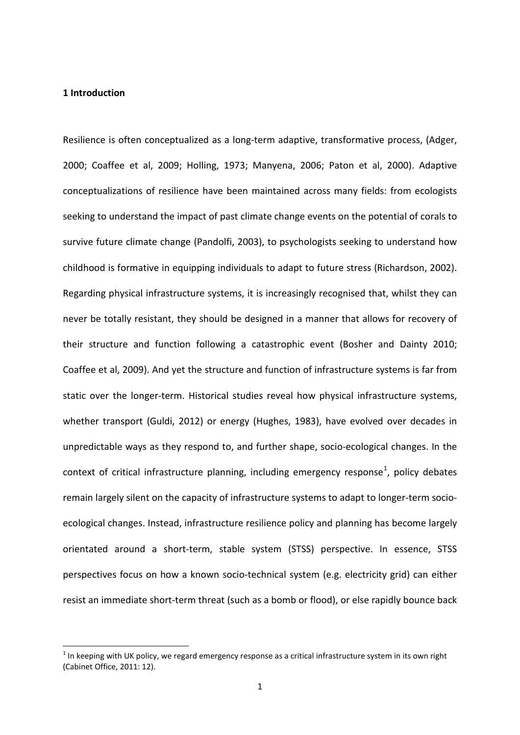#### **1 Introduction**

Resilience is often conceptualized as a long-term adaptive, transformative process, (Adger, 2000; Coaffee et al, 2009; Holling, 1973; Manyena, 2006; Paton et al, 2000). Adaptive conceptualizations of resilience have been maintained across many fields: from ecologists seeking to understand the impact of past climate change events on the potential of corals to survive future climate change (Pandolfi, 2003), to psychologists seeking to understand how childhood is formative in equipping individuals to adapt to future stress (Richardson, 2002). Regarding physical infrastructure systems, it is increasingly recognised that, whilst they can never be totally resistant, they should be designed in a manner that allows for recovery of their structure and function following a catastrophic event (Bosher and Dainty 2010; Coaffee et al, 2009). And yet the structure and function of infrastructure systems is far from static over the longer-term. Historical studies reveal how physical infrastructure systems, whether transport (Guldi, 2012) or energy (Hughes, 1983), have evolved over decades in unpredictable ways as they respond to, and further shape, socio-ecological changes. In the context of critical infrastructure planning, including emergency response<sup>[1](#page-2-0)</sup>, policy debates remain largely silent on the capacity of infrastructure systems to adapt to longer-term socioecological changes. Instead, infrastructure resilience policy and planning has become largely orientated around a short-term, stable system (STSS) perspective. In essence, STSS perspectives focus on how a known socio-technical system (e.g. electricity grid) can either resist an immediate short-term threat (such as a bomb or flood), or else rapidly bounce back

<span id="page-2-0"></span> $1$  In keeping with UK policy, we regard emergency response as a critical infrastructure system in its own right (Cabinet Office, 2011: 12).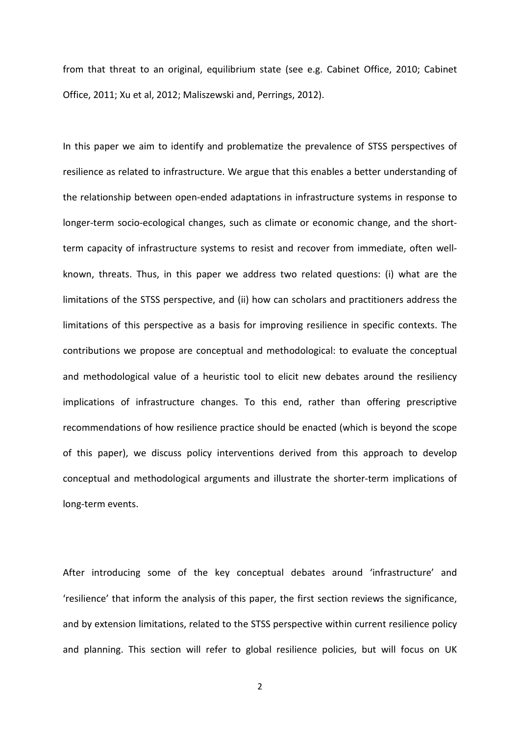from that threat to an original, equilibrium state (see e.g. Cabinet Office, 2010; Cabinet Office, 2011; Xu et al, 2012; Maliszewski and, Perrings, 2012).

In this paper we aim to identify and problematize the prevalence of STSS perspectives of resilience as related to infrastructure. We argue that this enables a better understanding of the relationship between open-ended adaptations in infrastructure systems in response to longer-term socio-ecological changes, such as climate or economic change, and the shortterm capacity of infrastructure systems to resist and recover from immediate, often wellknown, threats. Thus, in this paper we address two related questions: (i) what are the limitations of the STSS perspective, and (ii) how can scholars and practitioners address the limitations of this perspective as a basis for improving resilience in specific contexts. The contributions we propose are conceptual and methodological: to evaluate the conceptual and methodological value of a heuristic tool to elicit new debates around the resiliency implications of infrastructure changes. To this end, rather than offering prescriptive recommendations of how resilience practice should be enacted (which is beyond the scope of this paper), we discuss policy interventions derived from this approach to develop conceptual and methodological arguments and illustrate the shorter-term implications of long-term events.

After introducing some of the key conceptual debates around 'infrastructure' and 'resilience' that inform the analysis of this paper, the first section reviews the significance, and by extension limitations, related to the STSS perspective within current resilience policy and planning. This section will refer to global resilience policies, but will focus on UK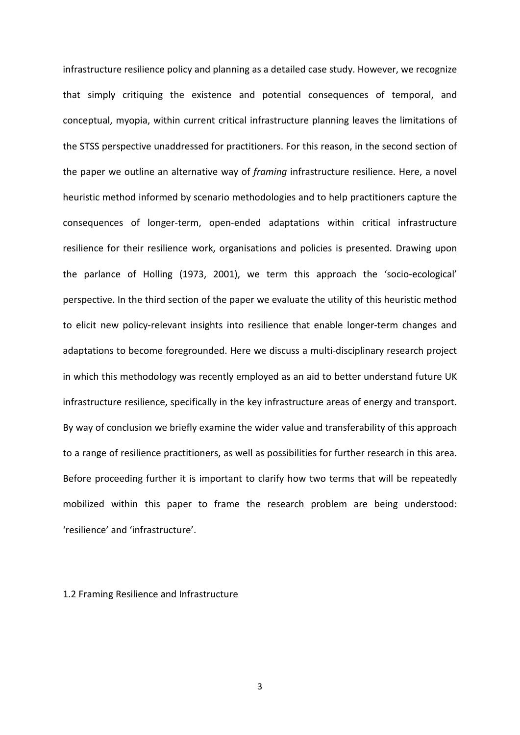infrastructure resilience policy and planning as a detailed case study. However, we recognize that simply critiquing the existence and potential consequences of temporal, and conceptual, myopia, within current critical infrastructure planning leaves the limitations of the STSS perspective unaddressed for practitioners. For this reason, in the second section of the paper we outline an alternative way of *framing* infrastructure resilience. Here, a novel heuristic method informed by scenario methodologies and to help practitioners capture the consequences of longer-term, open-ended adaptations within critical infrastructure resilience for their resilience work, organisations and policies is presented. Drawing upon the parlance of Holling (1973, 2001), we term this approach the 'socio-ecological' perspective. In the third section of the paper we evaluate the utility of this heuristic method to elicit new policy-relevant insights into resilience that enable longer-term changes and adaptations to become foregrounded. Here we discuss a multi-disciplinary research project in which this methodology was recently employed as an aid to better understand future UK infrastructure resilience, specifically in the key infrastructure areas of energy and transport. By way of conclusion we briefly examine the wider value and transferability of this approach to a range of resilience practitioners, as well as possibilities for further research in this area. Before proceeding further it is important to clarify how two terms that will be repeatedly mobilized within this paper to frame the research problem are being understood: 'resilience' and 'infrastructure'.

#### 1.2 Framing Resilience and Infrastructure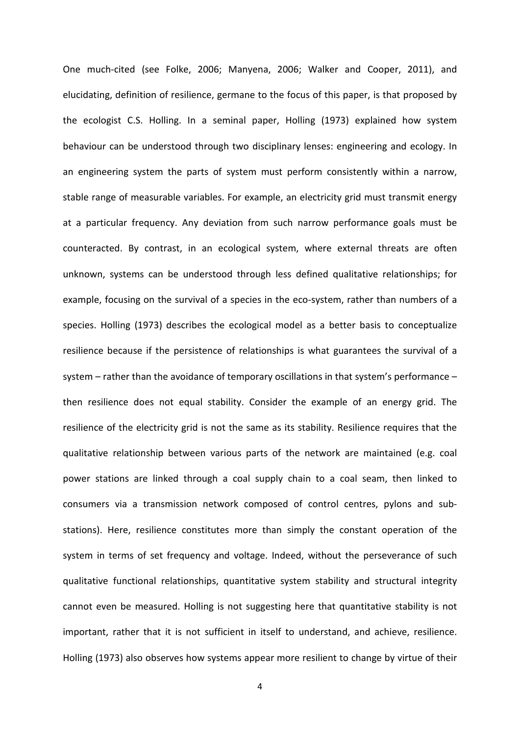One much-cited (see Folke, 2006; Manyena, 2006; Walker and Cooper, 2011), and elucidating, definition of resilience, germane to the focus of this paper, is that proposed by the ecologist C.S. Holling. In a seminal paper, Holling (1973) explained how system behaviour can be understood through two disciplinary lenses: engineering and ecology. In an engineering system the parts of system must perform consistently within a narrow, stable range of measurable variables. For example, an electricity grid must transmit energy at a particular frequency. Any deviation from such narrow performance goals must be counteracted. By contrast, in an ecological system, where external threats are often unknown, systems can be understood through less defined qualitative relationships; for example, focusing on the survival of a species in the eco-system, rather than numbers of a species. Holling (1973) describes the ecological model as a better basis to conceptualize resilience because if the persistence of relationships is what guarantees the survival of a system – rather than the avoidance of temporary oscillations in that system's performance – then resilience does not equal stability. Consider the example of an energy grid. The resilience of the electricity grid is not the same as its stability. Resilience requires that the qualitative relationship between various parts of the network are maintained (e.g. coal power stations are linked through a coal supply chain to a coal seam, then linked to consumers via a transmission network composed of control centres, pylons and substations). Here, resilience constitutes more than simply the constant operation of the system in terms of set frequency and voltage. Indeed, without the perseverance of such qualitative functional relationships, quantitative system stability and structural integrity cannot even be measured. Holling is not suggesting here that quantitative stability is not important, rather that it is not sufficient in itself to understand, and achieve, resilience. Holling (1973) also observes how systems appear more resilient to change by virtue of their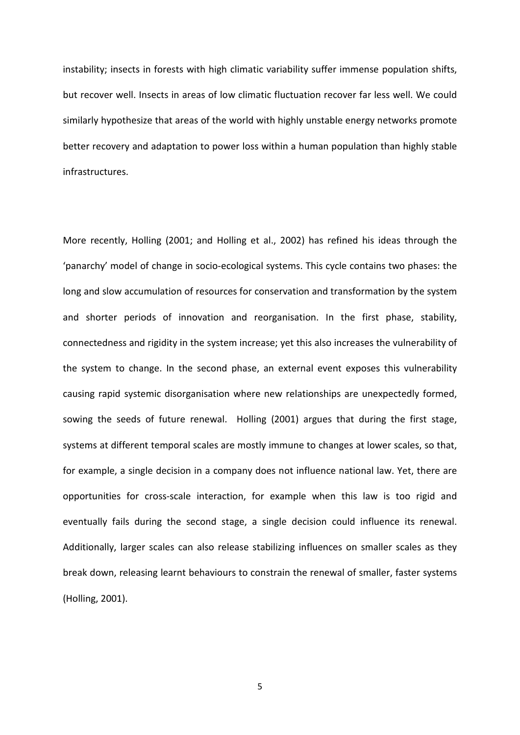instability; insects in forests with high climatic variability suffer immense population shifts, but recover well. Insects in areas of low climatic fluctuation recover far less well. We could similarly hypothesize that areas of the world with highly unstable energy networks promote better recovery and adaptation to power loss within a human population than highly stable infrastructures.

More recently, Holling (2001; and Holling et al., 2002) has refined his ideas through the 'panarchy' model of change in socio-ecological systems. This cycle contains two phases: the long and slow accumulation of resources for conservation and transformation by the system and shorter periods of innovation and reorganisation. In the first phase, stability, connectedness and rigidity in the system increase; yet this also increases the vulnerability of the system to change. In the second phase, an external event exposes this vulnerability causing rapid systemic disorganisation where new relationships are unexpectedly formed, sowing the seeds of future renewal. Holling (2001) argues that during the first stage, systems at different temporal scales are mostly immune to changes at lower scales, so that, for example, a single decision in a company does not influence national law. Yet, there are opportunities for cross-scale interaction, for example when this law is too rigid and eventually fails during the second stage, a single decision could influence its renewal. Additionally, larger scales can also release stabilizing influences on smaller scales as they break down, releasing learnt behaviours to constrain the renewal of smaller, faster systems (Holling, 2001).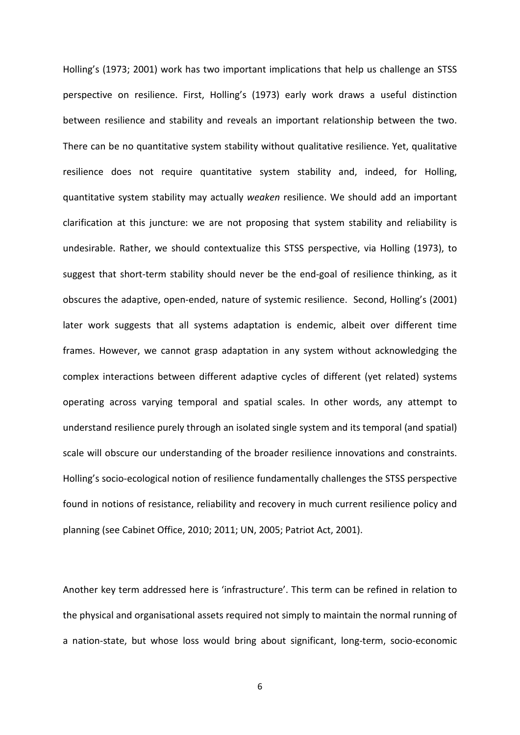Holling's (1973; 2001) work has two important implications that help us challenge an STSS perspective on resilience. First, Holling's (1973) early work draws a useful distinction between resilience and stability and reveals an important relationship between the two. There can be no quantitative system stability without qualitative resilience. Yet, qualitative resilience does not require quantitative system stability and, indeed, for Holling, quantitative system stability may actually *weaken* resilience. We should add an important clarification at this juncture: we are not proposing that system stability and reliability is undesirable. Rather, we should contextualize this STSS perspective, via Holling (1973), to suggest that short-term stability should never be the end-goal of resilience thinking, as it obscures the adaptive, open-ended, nature of systemic resilience. Second, Holling's (2001) later work suggests that all systems adaptation is endemic, albeit over different time frames. However, we cannot grasp adaptation in any system without acknowledging the complex interactions between different adaptive cycles of different (yet related) systems operating across varying temporal and spatial scales. In other words, any attempt to understand resilience purely through an isolated single system and its temporal (and spatial) scale will obscure our understanding of the broader resilience innovations and constraints. Holling's socio-ecological notion of resilience fundamentally challenges the STSS perspective found in notions of resistance, reliability and recovery in much current resilience policy and planning (see Cabinet Office, 2010; 2011; UN, 2005; Patriot Act, 2001).

Another key term addressed here is 'infrastructure'. This term can be refined in relation to the physical and organisational assets required not simply to maintain the normal running of a nation-state, but whose loss would bring about significant, long-term, socio-economic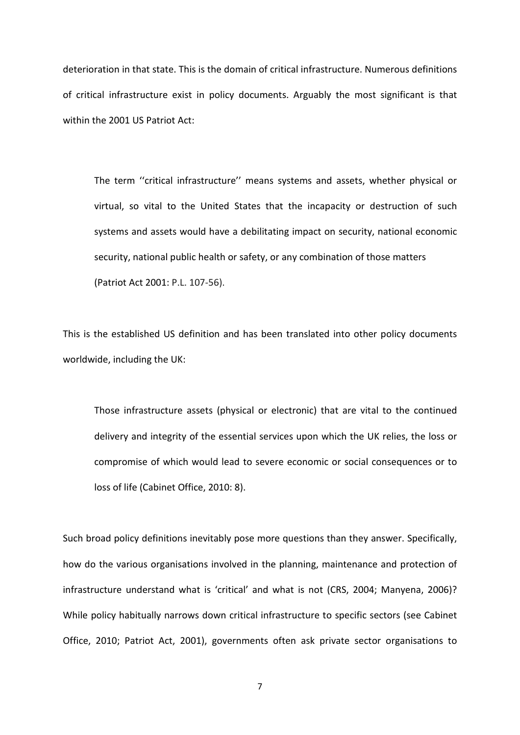deterioration in that state. This is the domain of critical infrastructure. Numerous definitions of critical infrastructure exist in policy documents. Arguably the most significant is that within the 2001 US Patriot Act:

The term ''critical infrastructure'' means systems and assets, whether physical or virtual, so vital to the United States that the incapacity or destruction of such systems and assets would have a debilitating impact on security, national economic security, national public health or safety, or any combination of those matters (Patriot Act 2001: P.L. 107-56).

This is the established US definition and has been translated into other policy documents worldwide, including the UK:

Those infrastructure assets (physical or electronic) that are vital to the continued delivery and integrity of the essential services upon which the UK relies, the loss or compromise of which would lead to severe economic or social consequences or to loss of life (Cabinet Office, 2010: 8).

Such broad policy definitions inevitably pose more questions than they answer. Specifically, how do the various organisations involved in the planning, maintenance and protection of infrastructure understand what is 'critical' and what is not (CRS, 2004; Manyena, 2006)? While policy habitually narrows down critical infrastructure to specific sectors (see Cabinet Office, 2010; Patriot Act, 2001), governments often ask private sector organisations to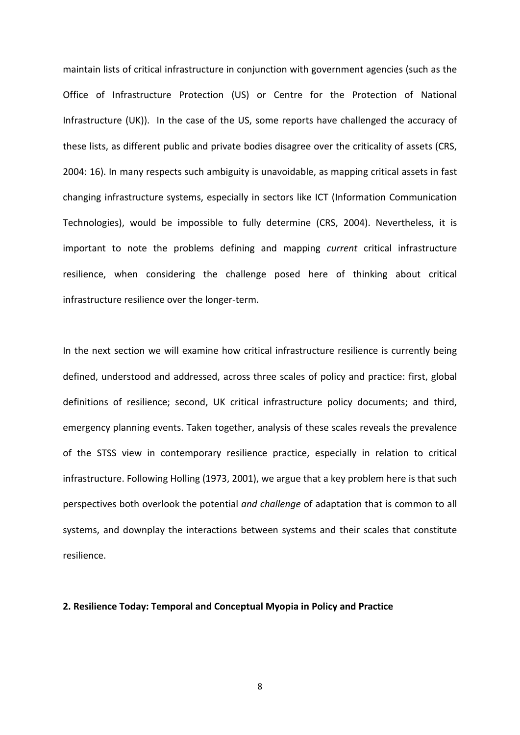maintain lists of critical infrastructure in conjunction with government agencies (such as the Office of Infrastructure Protection (US) or Centre for the Protection of National Infrastructure (UK)). In the case of the US, some reports have challenged the accuracy of these lists, as different public and private bodies disagree over the criticality of assets (CRS, 2004: 16). In many respects such ambiguity is unavoidable, as mapping critical assets in fast changing infrastructure systems, especially in sectors like ICT (Information Communication Technologies), would be impossible to fully determine (CRS, 2004). Nevertheless, it is important to note the problems defining and mapping *current* critical infrastructure resilience, when considering the challenge posed here of thinking about critical infrastructure resilience over the longer-term.

In the next section we will examine how critical infrastructure resilience is currently being defined, understood and addressed, across three scales of policy and practice: first, global definitions of resilience; second, UK critical infrastructure policy documents; and third, emergency planning events. Taken together, analysis of these scales reveals the prevalence of the STSS view in contemporary resilience practice, especially in relation to critical infrastructure. Following Holling (1973, 2001), we argue that a key problem here is that such perspectives both overlook the potential *and challenge* of adaptation that is common to all systems, and downplay the interactions between systems and their scales that constitute resilience.

#### **2. Resilience Today: Temporal and Conceptual Myopia in Policy and Practice**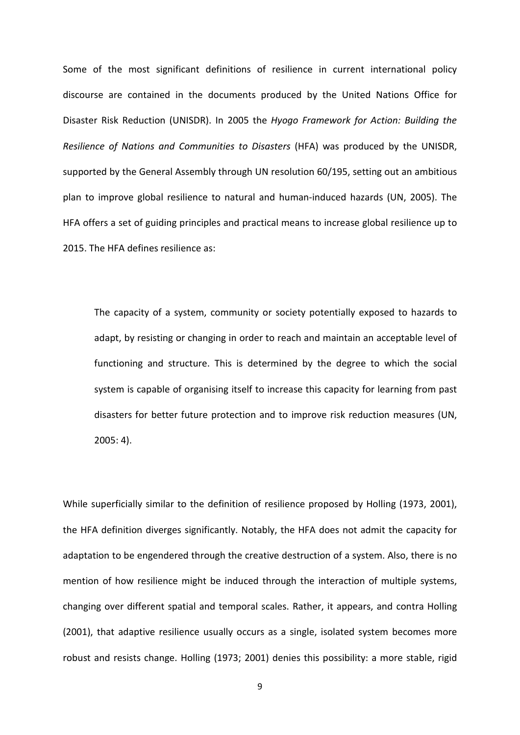Some of the most significant definitions of resilience in current international policy discourse are contained in the documents produced by the United Nations Office for Disaster Risk Reduction (UNISDR). In 2005 the *Hyogo Framework for Action: Building the Resilience of Nations and Communities to Disasters* (HFA) was produced by the UNISDR, supported by the General Assembly through UN resolution 60/195, setting out an ambitious plan to improve global resilience to natural and human-induced hazards (UN, 2005). The HFA offers a set of guiding principles and practical means to increase global resilience up to 2015. The HFA defines resilience as:

The capacity of a system, community or society potentially exposed to hazards to adapt, by resisting or changing in order to reach and maintain an acceptable level of functioning and structure. This is determined by the degree to which the social system is capable of organising itself to increase this capacity for learning from past disasters for better future protection and to improve risk reduction measures (UN, 2005: 4).

While superficially similar to the definition of resilience proposed by Holling (1973, 2001), the HFA definition diverges significantly. Notably, the HFA does not admit the capacity for adaptation to be engendered through the creative destruction of a system. Also, there is no mention of how resilience might be induced through the interaction of multiple systems, changing over different spatial and temporal scales. Rather, it appears, and contra Holling (2001), that adaptive resilience usually occurs as a single, isolated system becomes more robust and resists change. Holling (1973; 2001) denies this possibility: a more stable, rigid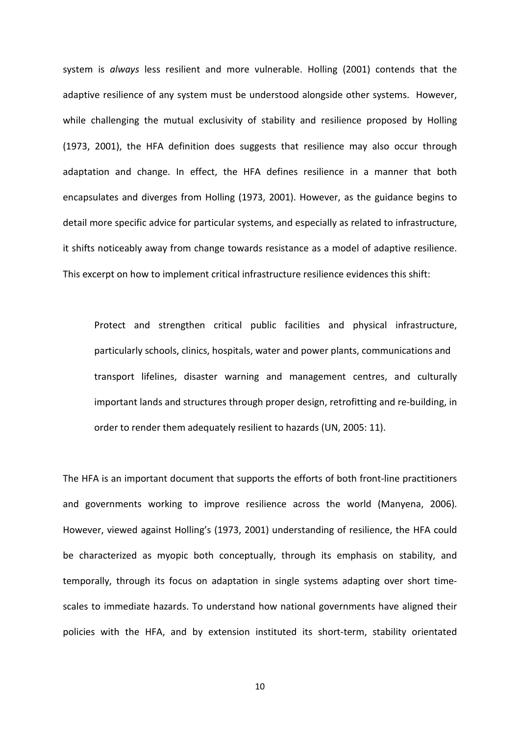system is *always* less resilient and more vulnerable. Holling (2001) contends that the adaptive resilience of any system must be understood alongside other systems. However, while challenging the mutual exclusivity of stability and resilience proposed by Holling (1973, 2001), the HFA definition does suggests that resilience may also occur through adaptation and change. In effect, the HFA defines resilience in a manner that both encapsulates and diverges from Holling (1973, 2001). However, as the guidance begins to detail more specific advice for particular systems, and especially as related to infrastructure, it shifts noticeably away from change towards resistance as a model of adaptive resilience. This excerpt on how to implement critical infrastructure resilience evidences this shift:

Protect and strengthen critical public facilities and physical infrastructure, particularly schools, clinics, hospitals, water and power plants, communications and transport lifelines, disaster warning and management centres, and culturally important lands and structures through proper design, retrofitting and re-building, in order to render them adequately resilient to hazards (UN, 2005: 11).

The HFA is an important document that supports the efforts of both front-line practitioners and governments working to improve resilience across the world (Manyena, 2006). However, viewed against Holling's (1973, 2001) understanding of resilience, the HFA could be characterized as myopic both conceptually, through its emphasis on stability, and temporally, through its focus on adaptation in single systems adapting over short timescales to immediate hazards. To understand how national governments have aligned their policies with the HFA, and by extension instituted its short-term, stability orientated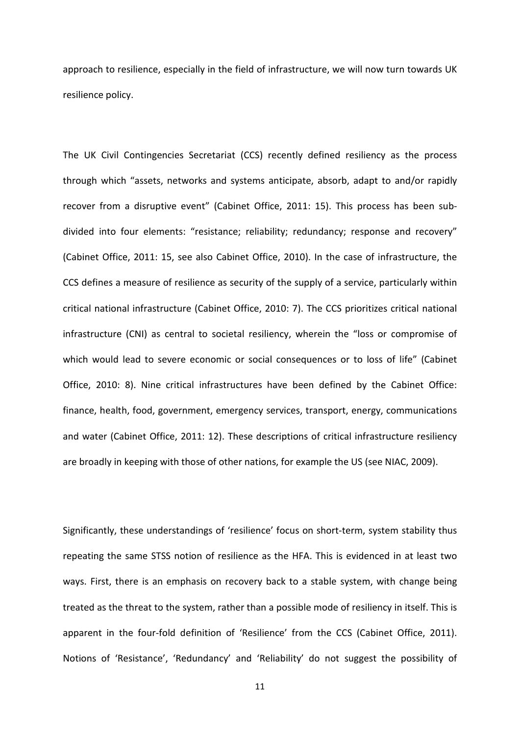approach to resilience, especially in the field of infrastructure, we will now turn towards UK resilience policy.

The UK Civil Contingencies Secretariat (CCS) recently defined resiliency as the process through which "assets, networks and systems anticipate, absorb, adapt to and/or rapidly recover from a disruptive event" (Cabinet Office, 2011: 15). This process has been subdivided into four elements: "resistance; reliability; redundancy; response and recovery" (Cabinet Office, 2011: 15, see also Cabinet Office, 2010). In the case of infrastructure, the CCS defines a measure of resilience as security of the supply of a service, particularly within critical national infrastructure (Cabinet Office, 2010: 7). The CCS prioritizes critical national infrastructure (CNI) as central to societal resiliency, wherein the "loss or compromise of which would lead to severe economic or social consequences or to loss of life" (Cabinet Office, 2010: 8). Nine critical infrastructures have been defined by the Cabinet Office: finance, health, food, government, emergency services, transport, energy, communications and water (Cabinet Office, 2011: 12). These descriptions of critical infrastructure resiliency are broadly in keeping with those of other nations, for example the US (see NIAC, 2009).

Significantly, these understandings of 'resilience' focus on short-term, system stability thus repeating the same STSS notion of resilience as the HFA. This is evidenced in at least two ways. First, there is an emphasis on recovery back to a stable system, with change being treated as the threat to the system, rather than a possible mode of resiliency in itself. This is apparent in the four-fold definition of 'Resilience' from the CCS (Cabinet Office, 2011). Notions of 'Resistance', 'Redundancy' and 'Reliability' do not suggest the possibility of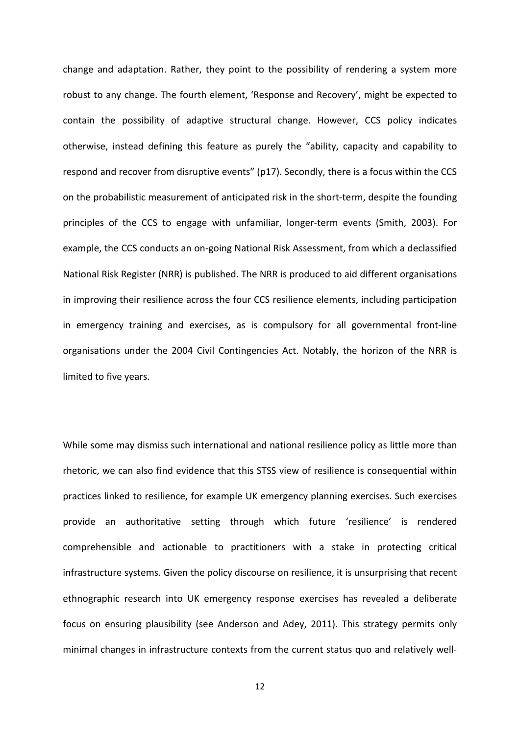change and adaptation. Rather, they point to the possibility of rendering a system more robust to any change. The fourth element, 'Response and Recovery', might be expected to contain the possibility of adaptive structural change. However, CCS policy indicates otherwise, instead defining this feature as purely the "ability, capacity and capability to respond and recover from disruptive events" (p17). Secondly, there is a focus within the CCS on the probabilistic measurement of anticipated risk in the short-term, despite the founding principles of the CCS to engage with unfamiliar, longer-term events (Smith, 2003). For example, the CCS conducts an on-going National Risk Assessment, from which a declassified National Risk Register (NRR) is published. The NRR is produced to aid different organisations in improving their resilience across the four CCS resilience elements, including participation in emergency training and exercises, as is compulsory for all governmental front-line organisations under the 2004 Civil Contingencies Act. Notably, the horizon of the NRR is limited to five years.

While some may dismiss such international and national resilience policy as little more than rhetoric, we can also find evidence that this STSS view of resilience is consequential within practices linked to resilience, for example UK emergency planning exercises. Such exercises provide an authoritative setting through which future 'resilience' is rendered comprehensible and actionable to practitioners with a stake in protecting critical infrastructure systems. Given the policy discourse on resilience, it is unsurprising that recent ethnographic research into UK emergency response exercises has revealed a deliberate focus on ensuring plausibility (see Anderson and Adey, 2011). This strategy permits only minimal changes in infrastructure contexts from the current status quo and relatively well-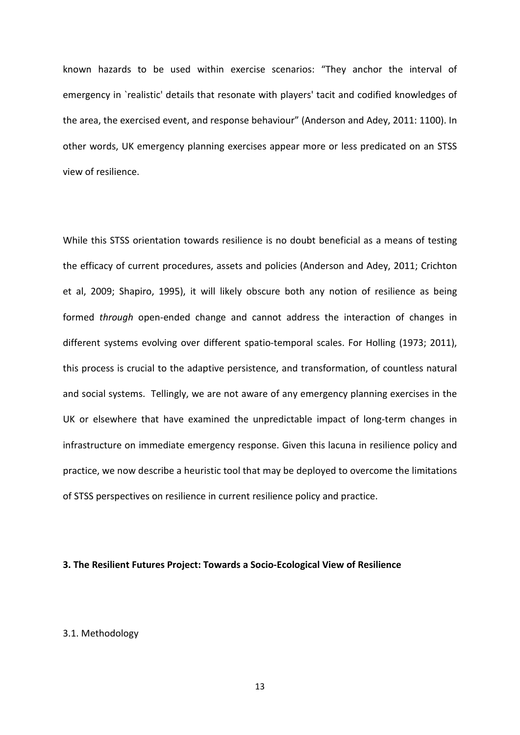known hazards to be used within exercise scenarios: "They anchor the interval of emergency in `realistic' details that resonate with players' tacit and codified knowledges of the area, the exercised event, and response behaviour" (Anderson and Adey, 2011: 1100). In other words, UK emergency planning exercises appear more or less predicated on an STSS view of resilience.

While this STSS orientation towards resilience is no doubt beneficial as a means of testing the efficacy of current procedures, assets and policies (Anderson and Adey, 2011; Crichton et al, 2009; Shapiro, 1995), it will likely obscure both any notion of resilience as being formed *through* open-ended change and cannot address the interaction of changes in different systems evolving over different spatio-temporal scales. For Holling (1973; 2011), this process is crucial to the adaptive persistence, and transformation, of countless natural and social systems. Tellingly, we are not aware of any emergency planning exercises in the UK or elsewhere that have examined the unpredictable impact of long-term changes in infrastructure on immediate emergency response. Given this lacuna in resilience policy and practice, we now describe a heuristic tool that may be deployed to overcome the limitations of STSS perspectives on resilience in current resilience policy and practice.

#### **3. The Resilient Futures Project: Towards a Socio-Ecological View of Resilience**

#### 3.1. Methodology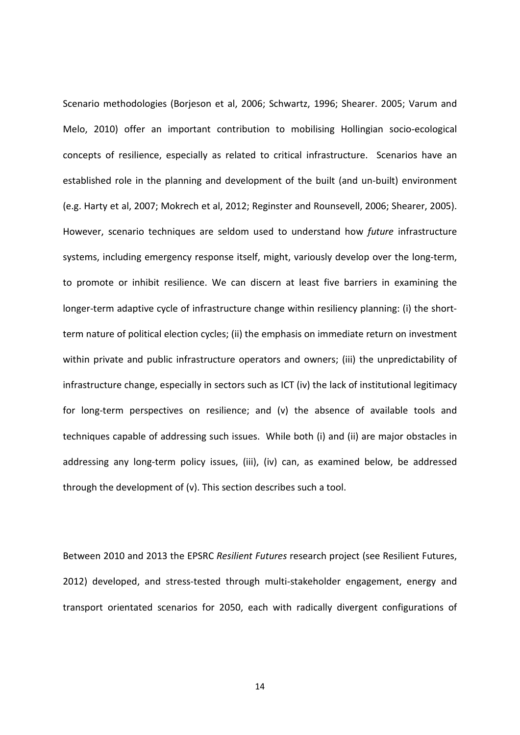Scenario methodologies (Borjeson et al, 2006; Schwartz, 1996; Shearer. 2005; Varum and Melo, 2010) offer an important contribution to mobilising Hollingian socio-ecological concepts of resilience, especially as related to critical infrastructure. Scenarios have an established role in the planning and development of the built (and un-built) environment (e.g. Harty et al, 2007; Mokrech et al, 2012; Reginster and Rounsevell, 2006; Shearer, 2005). However, scenario techniques are seldom used to understand how *future* infrastructure systems, including emergency response itself, might, variously develop over the long-term, to promote or inhibit resilience. We can discern at least five barriers in examining the longer-term adaptive cycle of infrastructure change within resiliency planning: (i) the shortterm nature of political election cycles; (ii) the emphasis on immediate return on investment within private and public infrastructure operators and owners; (iii) the unpredictability of infrastructure change, especially in sectors such as ICT (iv) the lack of institutional legitimacy for long-term perspectives on resilience; and (v) the absence of available tools and techniques capable of addressing such issues. While both (i) and (ii) are major obstacles in addressing any long-term policy issues, (iii), (iv) can, as examined below, be addressed through the development of (v). This section describes such a tool.

Between 2010 and 2013 the EPSRC *Resilient Futures* research project (see Resilient Futures, 2012) developed, and stress-tested through multi-stakeholder engagement, energy and transport orientated scenarios for 2050, each with radically divergent configurations of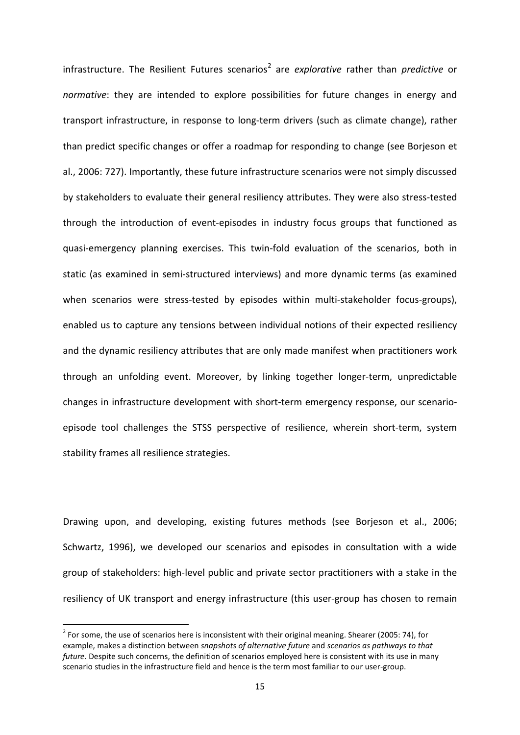infrastructure. The Resilient Futures scenarios<sup>[2](#page-16-0)</sup> are *explorative* rather than *predictive* or *normative*: they are intended to explore possibilities for future changes in energy and transport infrastructure, in response to long-term drivers (such as climate change), rather than predict specific changes or offer a roadmap for responding to change (see Borjeson et al., 2006: 727). Importantly, these future infrastructure scenarios were not simply discussed by stakeholders to evaluate their general resiliency attributes. They were also stress-tested through the introduction of event-episodes in industry focus groups that functioned as quasi-emergency planning exercises. This twin-fold evaluation of the scenarios, both in static (as examined in semi-structured interviews) and more dynamic terms (as examined when scenarios were stress-tested by episodes within multi-stakeholder focus-groups), enabled us to capture any tensions between individual notions of their expected resiliency and the dynamic resiliency attributes that are only made manifest when practitioners work through an unfolding event. Moreover, by linking together longer-term, unpredictable changes in infrastructure development with short-term emergency response, our scenarioepisode tool challenges the STSS perspective of resilience, wherein short-term, system stability frames all resilience strategies.

Drawing upon, and developing, existing futures methods (see Borjeson et al., 2006; Schwartz, 1996), we developed our scenarios and episodes in consultation with a wide group of stakeholders: high-level public and private sector practitioners with a stake in the resiliency of UK transport and energy infrastructure (this user-group has chosen to remain

<span id="page-16-0"></span> $2$  For some, the use of scenarios here is inconsistent with their original meaning. Shearer (2005: 74), for example, makes a distinction between *snapshots of alternative future* and *scenarios as pathways to that future*. Despite such concerns, the definition of scenarios employed here is consistent with its use in many scenario studies in the infrastructure field and hence is the term most familiar to our user-group.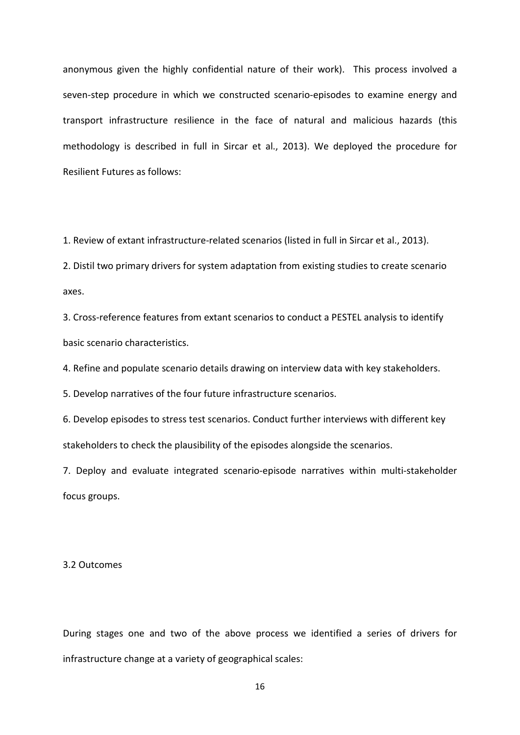anonymous given the highly confidential nature of their work). This process involved a seven-step procedure in which we constructed scenario-episodes to examine energy and transport infrastructure resilience in the face of natural and malicious hazards (this methodology is described in full in Sircar et al., 2013). We deployed the procedure for Resilient Futures as follows:

1. Review of extant infrastructure-related scenarios (listed in full in Sircar et al., 2013).

2. Distil two primary drivers for system adaptation from existing studies to create scenario axes.

3. Cross-reference features from extant scenarios to conduct a PESTEL analysis to identify basic scenario characteristics.

4. Refine and populate scenario details drawing on interview data with key stakeholders.

5. Develop narratives of the four future infrastructure scenarios.

6. Develop episodes to stress test scenarios. Conduct further interviews with different key stakeholders to check the plausibility of the episodes alongside the scenarios.

7. Deploy and evaluate integrated scenario-episode narratives within multi-stakeholder focus groups.

3.2 Outcomes

During stages one and two of the above process we identified a series of drivers for infrastructure change at a variety of geographical scales: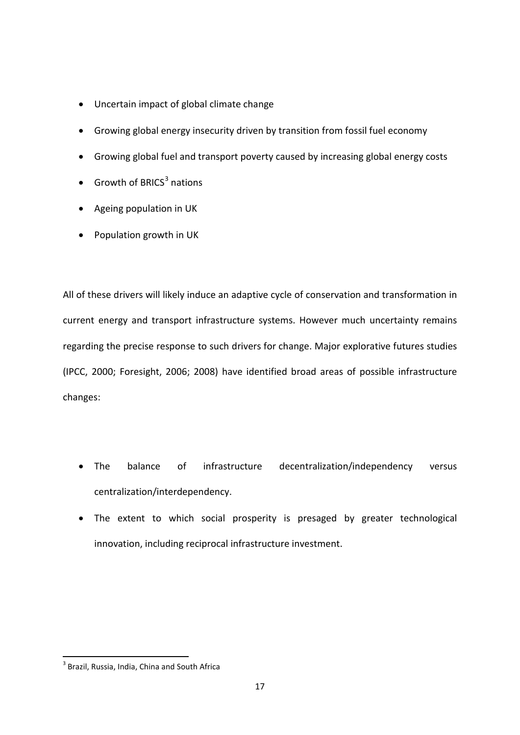- Uncertain impact of global climate change
- Growing global energy insecurity driven by transition from fossil fuel economy
- Growing global fuel and transport poverty caused by increasing global energy costs
- Growth of BRICS $3$  nations
- Ageing population in UK
- Population growth in UK

All of these drivers will likely induce an adaptive cycle of conservation and transformation in current energy and transport infrastructure systems. However much uncertainty remains regarding the precise response to such drivers for change. Major explorative futures studies (IPCC, 2000; Foresight, 2006; 2008) have identified broad areas of possible infrastructure changes:

- The balance of infrastructure decentralization/independency versus centralization/interdependency.
- The extent to which social prosperity is presaged by greater technological innovation, including reciprocal infrastructure investment.

<span id="page-18-0"></span> $3$  Brazil, Russia, India, China and South Africa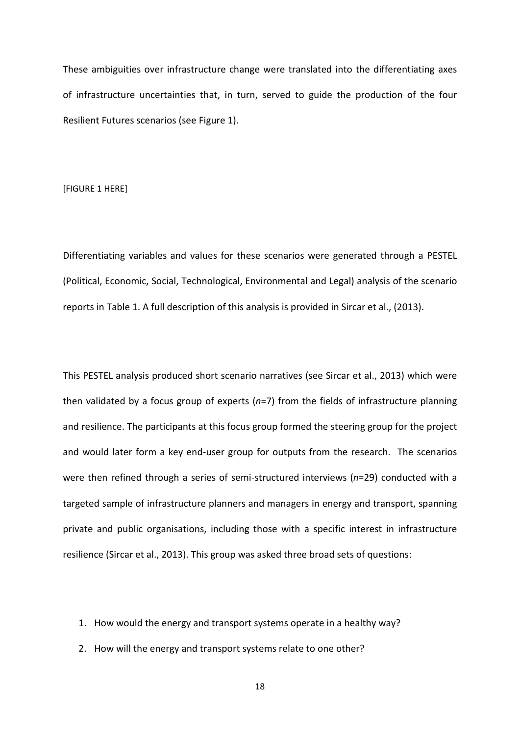These ambiguities over infrastructure change were translated into the differentiating axes of infrastructure uncertainties that, in turn, served to guide the production of the four Resilient Futures scenarios (see Figure 1).

[FIGURE 1 HERE]

Differentiating variables and values for these scenarios were generated through a PESTEL (Political, Economic, Social, Technological, Environmental and Legal) analysis of the scenario reports in Table 1. A full description of this analysis is provided in Sircar et al., (2013).

This PESTEL analysis produced short scenario narratives (see Sircar et al., 2013) which were then validated by a focus group of experts (*n*=7) from the fields of infrastructure planning and resilience. The participants at this focus group formed the steering group for the project and would later form a key end-user group for outputs from the research. The scenarios were then refined through a series of semi-structured interviews (*n*=29) conducted with a targeted sample of infrastructure planners and managers in energy and transport, spanning private and public organisations, including those with a specific interest in infrastructure resilience (Sircar et al., 2013). This group was asked three broad sets of questions:

- 1. How would the energy and transport systems operate in a healthy way?
- 2. How will the energy and transport systems relate to one other?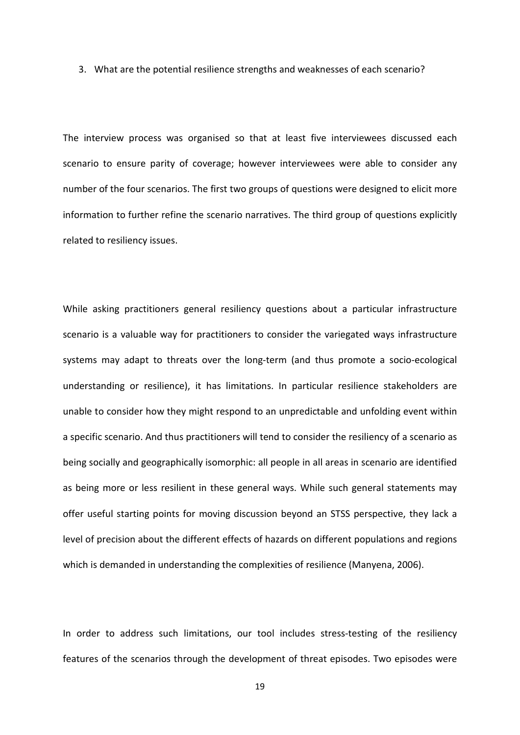3. What are the potential resilience strengths and weaknesses of each scenario?

The interview process was organised so that at least five interviewees discussed each scenario to ensure parity of coverage; however interviewees were able to consider any number of the four scenarios. The first two groups of questions were designed to elicit more information to further refine the scenario narratives. The third group of questions explicitly related to resiliency issues.

While asking practitioners general resiliency questions about a particular infrastructure scenario is a valuable way for practitioners to consider the variegated ways infrastructure systems may adapt to threats over the long-term (and thus promote a socio-ecological understanding or resilience), it has limitations. In particular resilience stakeholders are unable to consider how they might respond to an unpredictable and unfolding event within a specific scenario. And thus practitioners will tend to consider the resiliency of a scenario as being socially and geographically isomorphic: all people in all areas in scenario are identified as being more or less resilient in these general ways. While such general statements may offer useful starting points for moving discussion beyond an STSS perspective, they lack a level of precision about the different effects of hazards on different populations and regions which is demanded in understanding the complexities of resilience (Manyena, 2006).

In order to address such limitations, our tool includes stress-testing of the resiliency features of the scenarios through the development of threat episodes. Two episodes were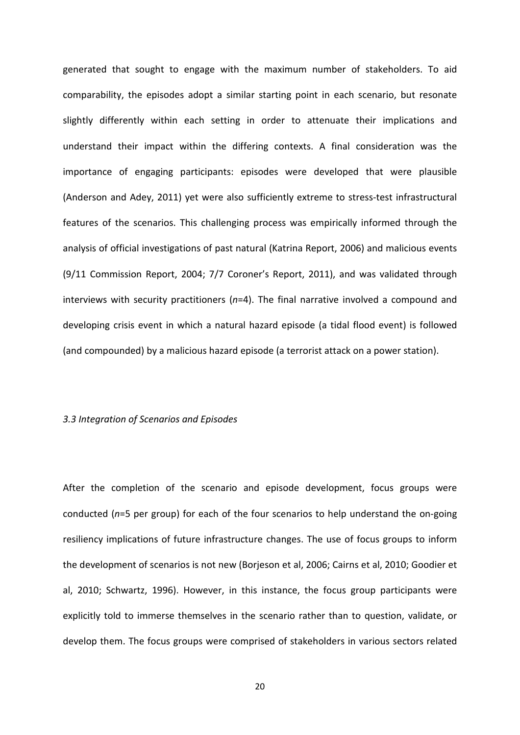generated that sought to engage with the maximum number of stakeholders. To aid comparability, the episodes adopt a similar starting point in each scenario, but resonate slightly differently within each setting in order to attenuate their implications and understand their impact within the differing contexts. A final consideration was the importance of engaging participants: episodes were developed that were plausible (Anderson and Adey, 2011) yet were also sufficiently extreme to stress-test infrastructural features of the scenarios. This challenging process was empirically informed through the analysis of official investigations of past natural (Katrina Report, 2006) and malicious events (9/11 Commission Report, 2004; 7/7 Coroner's Report, 2011), and was validated through interviews with security practitioners (*n*=4). The final narrative involved a compound and developing crisis event in which a natural hazard episode (a tidal flood event) is followed (and compounded) by a malicious hazard episode (a terrorist attack on a power station).

#### *3.3 Integration of Scenarios and Episodes*

After the completion of the scenario and episode development, focus groups were conducted (*n*=5 per group) for each of the four scenarios to help understand the on-going resiliency implications of future infrastructure changes. The use of focus groups to inform the development of scenarios is not new (Borjeson et al, 2006; Cairns et al, 2010; Goodier et al, 2010; Schwartz, 1996). However, in this instance, the focus group participants were explicitly told to immerse themselves in the scenario rather than to question, validate, or develop them. The focus groups were comprised of stakeholders in various sectors related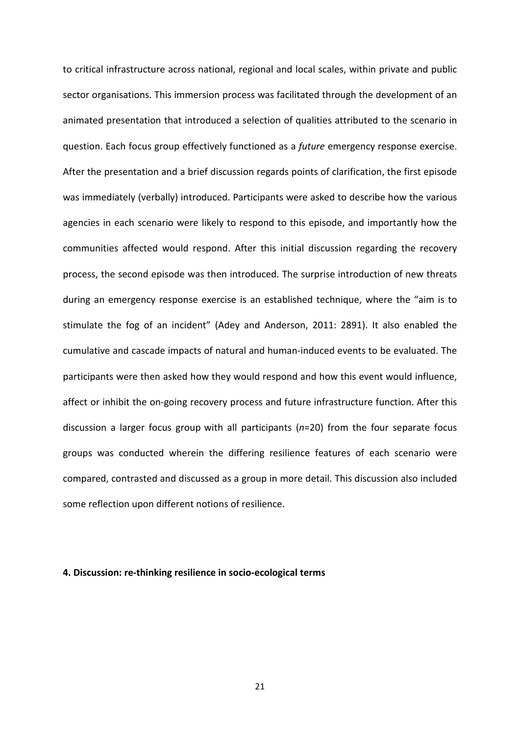to critical infrastructure across national, regional and local scales, within private and public sector organisations. This immersion process was facilitated through the development of an animated presentation that introduced a selection of qualities attributed to the scenario in question. Each focus group effectively functioned as a *future* emergency response exercise. After the presentation and a brief discussion regards points of clarification, the first episode was immediately (verbally) introduced. Participants were asked to describe how the various agencies in each scenario were likely to respond to this episode, and importantly how the communities affected would respond. After this initial discussion regarding the recovery process, the second episode was then introduced. The surprise introduction of new threats during an emergency response exercise is an established technique, where the "aim is to stimulate the fog of an incident" (Adey and Anderson, 2011: 2891). It also enabled the cumulative and cascade impacts of natural and human-induced events to be evaluated. The participants were then asked how they would respond and how this event would influence, affect or inhibit the on-going recovery process and future infrastructure function. After this discussion a larger focus group with all participants (*n*=20) from the four separate focus groups was conducted wherein the differing resilience features of each scenario were compared, contrasted and discussed as a group in more detail. This discussion also included some reflection upon different notions of resilience.

#### **4. Discussion: re-thinking resilience in socio-ecological terms**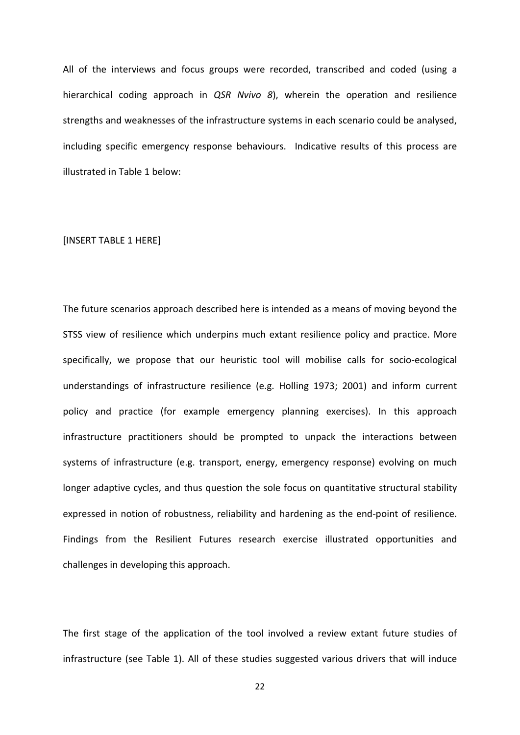All of the interviews and focus groups were recorded, transcribed and coded (using a hierarchical coding approach in *QSR Nvivo 8*), wherein the operation and resilience strengths and weaknesses of the infrastructure systems in each scenario could be analysed, including specific emergency response behaviours. Indicative results of this process are illustrated in Table 1 below:

#### [INSERT TABLE 1 HERE]

The future scenarios approach described here is intended as a means of moving beyond the STSS view of resilience which underpins much extant resilience policy and practice. More specifically, we propose that our heuristic tool will mobilise calls for socio-ecological understandings of infrastructure resilience (e.g. Holling 1973; 2001) and inform current policy and practice (for example emergency planning exercises). In this approach infrastructure practitioners should be prompted to unpack the interactions between systems of infrastructure (e.g. transport, energy, emergency response) evolving on much longer adaptive cycles, and thus question the sole focus on quantitative structural stability expressed in notion of robustness, reliability and hardening as the end-point of resilience. Findings from the Resilient Futures research exercise illustrated opportunities and challenges in developing this approach.

The first stage of the application of the tool involved a review extant future studies of infrastructure (see Table 1). All of these studies suggested various drivers that will induce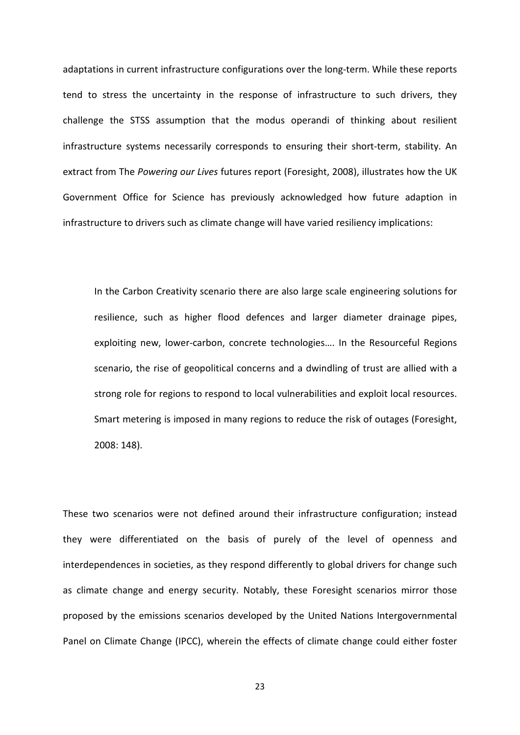adaptations in current infrastructure configurations over the long-term. While these reports tend to stress the uncertainty in the response of infrastructure to such drivers, they challenge the STSS assumption that the modus operandi of thinking about resilient infrastructure systems necessarily corresponds to ensuring their short-term, stability. An extract from The *Powering our Lives* futures report (Foresight, 2008), illustrates how the UK Government Office for Science has previously acknowledged how future adaption in infrastructure to drivers such as climate change will have varied resiliency implications:

In the Carbon Creativity scenario there are also large scale engineering solutions for resilience, such as higher flood defences and larger diameter drainage pipes, exploiting new, lower-carbon, concrete technologies…. In the Resourceful Regions scenario, the rise of geopolitical concerns and a dwindling of trust are allied with a strong role for regions to respond to local vulnerabilities and exploit local resources. Smart metering is imposed in many regions to reduce the risk of outages (Foresight, 2008: 148).

These two scenarios were not defined around their infrastructure configuration; instead they were differentiated on the basis of purely of the level of openness and interdependences in societies, as they respond differently to global drivers for change such as climate change and energy security. Notably, these Foresight scenarios mirror those proposed by the emissions scenarios developed by the United Nations Intergovernmental Panel on Climate Change (IPCC), wherein the effects of climate change could either foster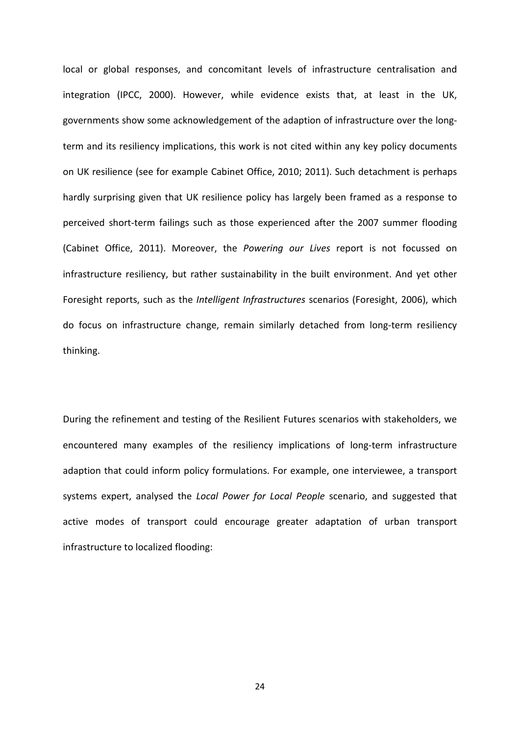local or global responses, and concomitant levels of infrastructure centralisation and integration (IPCC, 2000). However, while evidence exists that, at least in the UK, governments show some acknowledgement of the adaption of infrastructure over the longterm and its resiliency implications, this work is not cited within any key policy documents on UK resilience (see for example Cabinet Office, 2010; 2011). Such detachment is perhaps hardly surprising given that UK resilience policy has largely been framed as a response to perceived short-term failings such as those experienced after the 2007 summer flooding (Cabinet Office, 2011). Moreover, the *Powering our Lives* report is not focussed on infrastructure resiliency, but rather sustainability in the built environment. And yet other Foresight reports, such as the *Intelligent Infrastructures* scenarios (Foresight, 2006), which do focus on infrastructure change, remain similarly detached from long-term resiliency thinking.

During the refinement and testing of the Resilient Futures scenarios with stakeholders, we encountered many examples of the resiliency implications of long-term infrastructure adaption that could inform policy formulations. For example, one interviewee, a transport systems expert, analysed the *Local Power for Local People* scenario, and suggested that active modes of transport could encourage greater adaptation of urban transport infrastructure to localized flooding: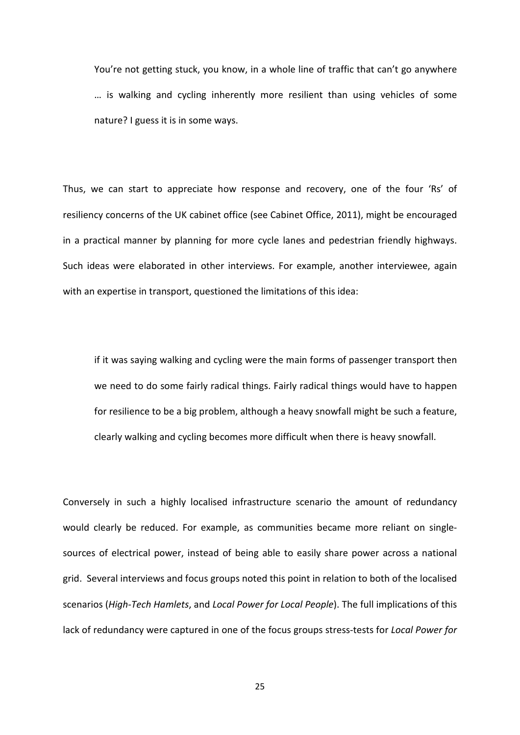You're not getting stuck, you know, in a whole line of traffic that can't go anywhere … is walking and cycling inherently more resilient than using vehicles of some nature? I guess it is in some ways.

Thus, we can start to appreciate how response and recovery, one of the four 'Rs' of resiliency concerns of the UK cabinet office (see Cabinet Office, 2011), might be encouraged in a practical manner by planning for more cycle lanes and pedestrian friendly highways. Such ideas were elaborated in other interviews. For example, another interviewee, again with an expertise in transport, questioned the limitations of this idea:

if it was saying walking and cycling were the main forms of passenger transport then we need to do some fairly radical things. Fairly radical things would have to happen for resilience to be a big problem, although a heavy snowfall might be such a feature, clearly walking and cycling becomes more difficult when there is heavy snowfall.

Conversely in such a highly localised infrastructure scenario the amount of redundancy would clearly be reduced. For example, as communities became more reliant on singlesources of electrical power, instead of being able to easily share power across a national grid. Several interviews and focus groups noted this point in relation to both of the localised scenarios (*High-Tech Hamlets*, and *Local Power for Local People*). The full implications of this lack of redundancy were captured in one of the focus groups stress-tests for *Local Power for*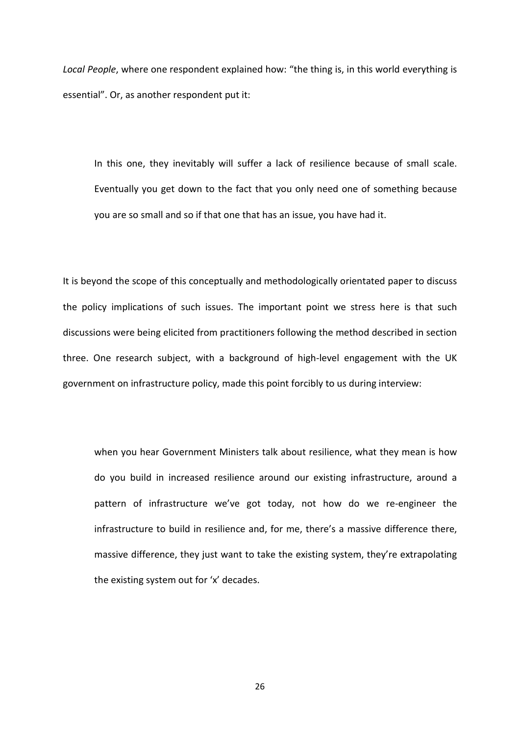*Local People*, where one respondent explained how: "the thing is, in this world everything is essential". Or, as another respondent put it:

In this one, they inevitably will suffer a lack of resilience because of small scale. Eventually you get down to the fact that you only need one of something because you are so small and so if that one that has an issue, you have had it.

It is beyond the scope of this conceptually and methodologically orientated paper to discuss the policy implications of such issues. The important point we stress here is that such discussions were being elicited from practitioners following the method described in section three. One research subject, with a background of high-level engagement with the UK government on infrastructure policy, made this point forcibly to us during interview:

when you hear Government Ministers talk about resilience, what they mean is how do you build in increased resilience around our existing infrastructure, around a pattern of infrastructure we've got today, not how do we re-engineer the infrastructure to build in resilience and, for me, there's a massive difference there, massive difference, they just want to take the existing system, they're extrapolating the existing system out for 'x' decades.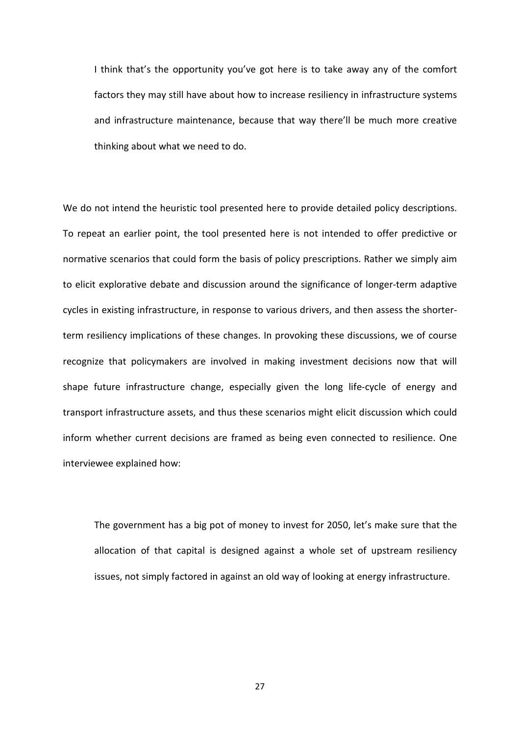I think that's the opportunity you've got here is to take away any of the comfort factors they may still have about how to increase resiliency in infrastructure systems and infrastructure maintenance, because that way there'll be much more creative thinking about what we need to do.

We do not intend the heuristic tool presented here to provide detailed policy descriptions. To repeat an earlier point, the tool presented here is not intended to offer predictive or normative scenarios that could form the basis of policy prescriptions. Rather we simply aim to elicit explorative debate and discussion around the significance of longer-term adaptive cycles in existing infrastructure, in response to various drivers, and then assess the shorterterm resiliency implications of these changes. In provoking these discussions, we of course recognize that policymakers are involved in making investment decisions now that will shape future infrastructure change, especially given the long life-cycle of energy and transport infrastructure assets, and thus these scenarios might elicit discussion which could inform whether current decisions are framed as being even connected to resilience. One interviewee explained how:

The government has a big pot of money to invest for 2050, let's make sure that the allocation of that capital is designed against a whole set of upstream resiliency issues, not simply factored in against an old way of looking at energy infrastructure.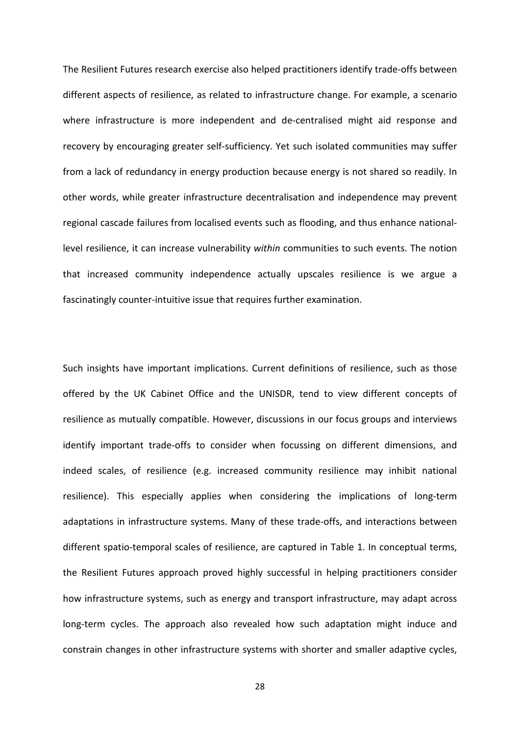The Resilient Futures research exercise also helped practitioners identify trade-offs between different aspects of resilience, as related to infrastructure change. For example, a scenario where infrastructure is more independent and de-centralised might aid response and recovery by encouraging greater self-sufficiency. Yet such isolated communities may suffer from a lack of redundancy in energy production because energy is not shared so readily. In other words, while greater infrastructure decentralisation and independence may prevent regional cascade failures from localised events such as flooding, and thus enhance nationallevel resilience, it can increase vulnerability *within* communities to such events. The notion that increased community independence actually upscales resilience is we argue a fascinatingly counter-intuitive issue that requires further examination.

Such insights have important implications. Current definitions of resilience, such as those offered by the UK Cabinet Office and the UNISDR, tend to view different concepts of resilience as mutually compatible. However, discussions in our focus groups and interviews identify important trade-offs to consider when focussing on different dimensions, and indeed scales, of resilience (e.g. increased community resilience may inhibit national resilience). This especially applies when considering the implications of long-term adaptations in infrastructure systems. Many of these trade-offs, and interactions between different spatio-temporal scales of resilience, are captured in Table 1. In conceptual terms, the Resilient Futures approach proved highly successful in helping practitioners consider how infrastructure systems, such as energy and transport infrastructure, may adapt across long-term cycles. The approach also revealed how such adaptation might induce and constrain changes in other infrastructure systems with shorter and smaller adaptive cycles,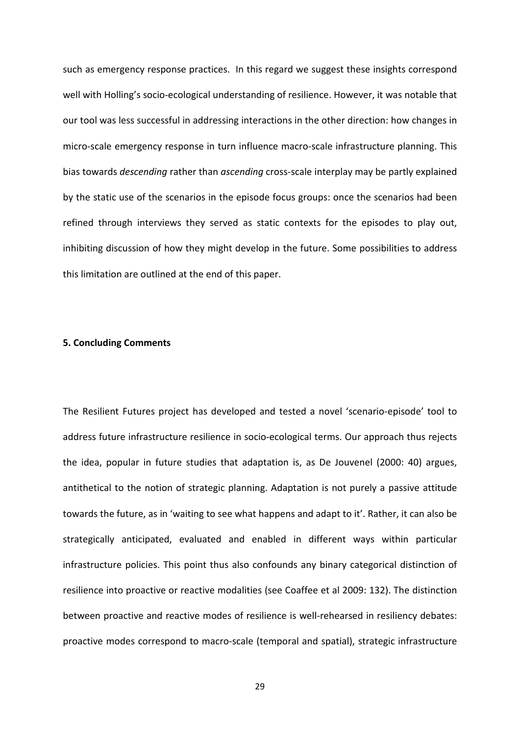such as emergency response practices. In this regard we suggest these insights correspond well with Holling's socio-ecological understanding of resilience. However, it was notable that our tool was less successful in addressing interactions in the other direction: how changes in micro-scale emergency response in turn influence macro-scale infrastructure planning. This bias towards *descending* rather than *ascending* cross-scale interplay may be partly explained by the static use of the scenarios in the episode focus groups: once the scenarios had been refined through interviews they served as static contexts for the episodes to play out, inhibiting discussion of how they might develop in the future. Some possibilities to address this limitation are outlined at the end of this paper.

## **5. Concluding Comments**

The Resilient Futures project has developed and tested a novel 'scenario-episode' tool to address future infrastructure resilience in socio-ecological terms. Our approach thus rejects the idea, popular in future studies that adaptation is, as De Jouvenel (2000: 40) argues, antithetical to the notion of strategic planning. Adaptation is not purely a passive attitude towards the future, as in 'waiting to see what happens and adapt to it'. Rather, it can also be strategically anticipated, evaluated and enabled in different ways within particular infrastructure policies. This point thus also confounds any binary categorical distinction of resilience into proactive or reactive modalities (see Coaffee et al 2009: 132). The distinction between proactive and reactive modes of resilience is well-rehearsed in resiliency debates: proactive modes correspond to macro-scale (temporal and spatial), strategic infrastructure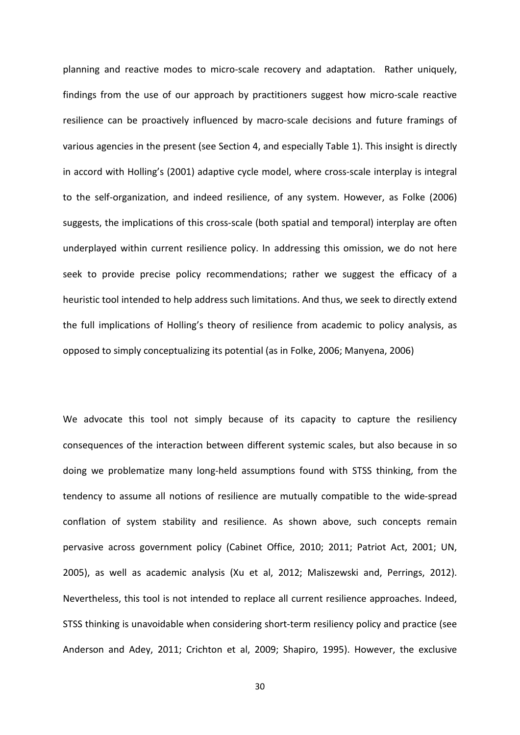planning and reactive modes to micro-scale recovery and adaptation. Rather uniquely, findings from the use of our approach by practitioners suggest how micro-scale reactive resilience can be proactively influenced by macro-scale decisions and future framings of various agencies in the present (see Section 4, and especially Table 1). This insight is directly in accord with Holling's (2001) adaptive cycle model, where cross-scale interplay is integral to the self-organization, and indeed resilience, of any system. However, as Folke (2006) suggests, the implications of this cross-scale (both spatial and temporal) interplay are often underplayed within current resilience policy. In addressing this omission, we do not here seek to provide precise policy recommendations; rather we suggest the efficacy of a heuristic tool intended to help address such limitations. And thus, we seek to directly extend the full implications of Holling's theory of resilience from academic to policy analysis, as opposed to simply conceptualizing its potential (as in Folke, 2006; Manyena, 2006)

We advocate this tool not simply because of its capacity to capture the resiliency consequences of the interaction between different systemic scales, but also because in so doing we problematize many long-held assumptions found with STSS thinking, from the tendency to assume all notions of resilience are mutually compatible to the wide-spread conflation of system stability and resilience. As shown above, such concepts remain pervasive across government policy (Cabinet Office, 2010; 2011; Patriot Act, 2001; UN, 2005), as well as academic analysis (Xu et al, 2012; Maliszewski and, Perrings, 2012). Nevertheless, this tool is not intended to replace all current resilience approaches. Indeed, STSS thinking is unavoidable when considering short-term resiliency policy and practice (see Anderson and Adey, 2011; Crichton et al, 2009; Shapiro, 1995). However, the exclusive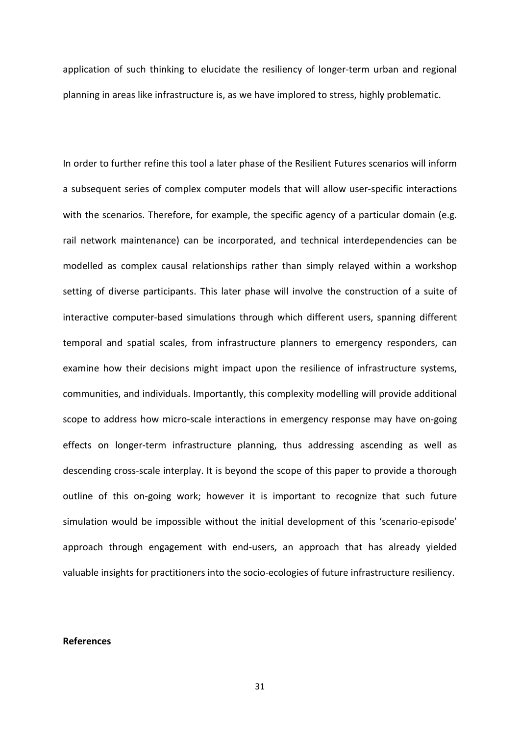application of such thinking to elucidate the resiliency of longer-term urban and regional planning in areas like infrastructure is, as we have implored to stress, highly problematic.

In order to further refine this tool a later phase of the Resilient Futures scenarios will inform a subsequent series of complex computer models that will allow user-specific interactions with the scenarios. Therefore, for example, the specific agency of a particular domain (e.g. rail network maintenance) can be incorporated, and technical interdependencies can be modelled as complex causal relationships rather than simply relayed within a workshop setting of diverse participants. This later phase will involve the construction of a suite of interactive computer-based simulations through which different users, spanning different temporal and spatial scales, from infrastructure planners to emergency responders, can examine how their decisions might impact upon the resilience of infrastructure systems, communities, and individuals. Importantly, this complexity modelling will provide additional scope to address how micro-scale interactions in emergency response may have on-going effects on longer-term infrastructure planning, thus addressing ascending as well as descending cross-scale interplay. It is beyond the scope of this paper to provide a thorough outline of this on-going work; however it is important to recognize that such future simulation would be impossible without the initial development of this 'scenario-episode' approach through engagement with end-users, an approach that has already yielded valuable insights for practitioners into the socio-ecologies of future infrastructure resiliency.

#### **References**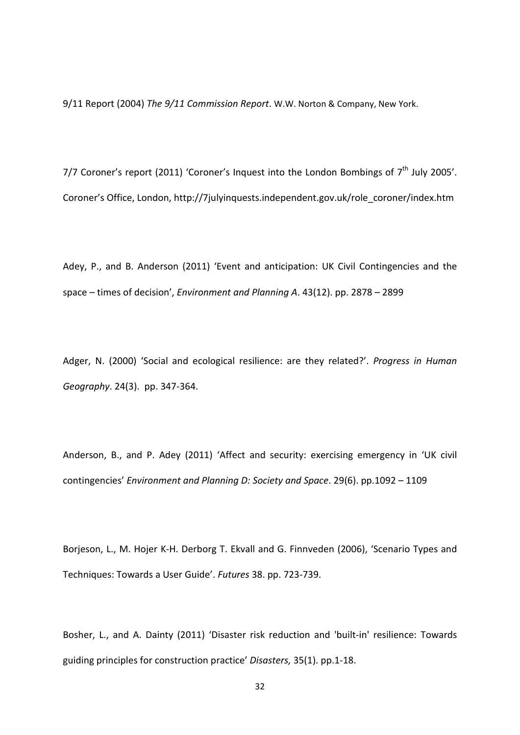9/11 Report (2004) *The 9/11 Commission Report*. W.W. Norton & Company, New York.

7/7 Coroner's report (2011) 'Coroner's Inquest into the London Bombings of  $7<sup>th</sup>$  July 2005'. Coroner's Office, London, http://7julyinquests.independent.gov.uk/role\_coroner/index.htm

Adey, P., and B. Anderson (2011) 'Event and anticipation: UK Civil Contingencies and the space – times of decision', *Environment and Planning A*. 43(12). pp. 2878 – 2899

Adger, N. (2000) 'Social and ecological resilience: are they related?'. *Progress in Human Geography*. 24(3). pp. 347-364.

Anderson, B., and P. Adey (2011) 'Affect and security: exercising emergency in 'UK civil contingencies' *Environment and Planning D: Society and Space*. 29(6). pp.1092 – 1109

Borjeson, L., M. Hojer K-H. Derborg T. Ekvall and G. Finnveden (2006), 'Scenario Types and Techniques: Towards a User Guide'. *Futures* 38. pp. 723-739.

Bosher, L., and A. Dainty (2011) 'Disaster risk reduction and 'built-in' resilience: Towards guiding principles for construction practice' *Disasters,* 35(1). pp.1-18.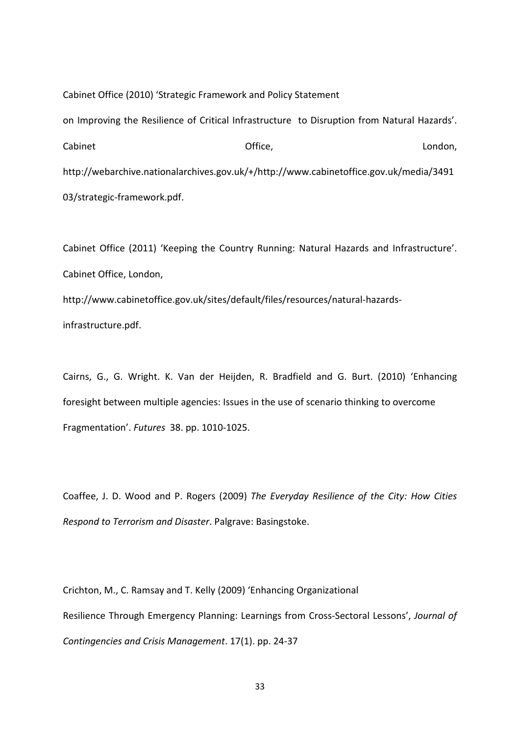Cabinet Office (2010) 'Strategic Framework and Policy Statement on Improving the Resilience of Critical Infrastructure to Disruption from Natural Hazards'. Cabinet **Cabinet** Cabinet Condon, Cabinet Cabinet Condon, Cabinet Condon, Cabinet Condon, http://webarchive.nationalarchives.gov.uk/+/http://www.cabinetoffice.gov.uk/media/3491 03/strategic-framework.pdf.

Cabinet Office (2011) 'Keeping the Country Running: Natural Hazards and Infrastructure'. Cabinet Office, London, http://www.cabinetoffice.gov.uk/sites/default/files/resources/natural-hazardsinfrastructure.pdf.

Cairns, G., G. Wright. K. Van der Heijden, R. Bradfield and G. Burt. (2010) 'Enhancing foresight between multiple agencies: Issues in the use of scenario thinking to overcome Fragmentation'. *Futures* 38. pp. 1010-1025.

Coaffee, J. D. Wood and P. Rogers (2009) *The Everyday Resilience of the City: How Cities Respond to Terrorism and Disaster*. Palgrave: Basingstoke.

Crichton, M., C. Ramsay and T. Kelly (2009) 'Enhancing Organizational Resilience Through Emergency Planning: Learnings from Cross-Sectoral Lessons', *Journal of Contingencies and Crisis Management*. 17(1). pp. 24-37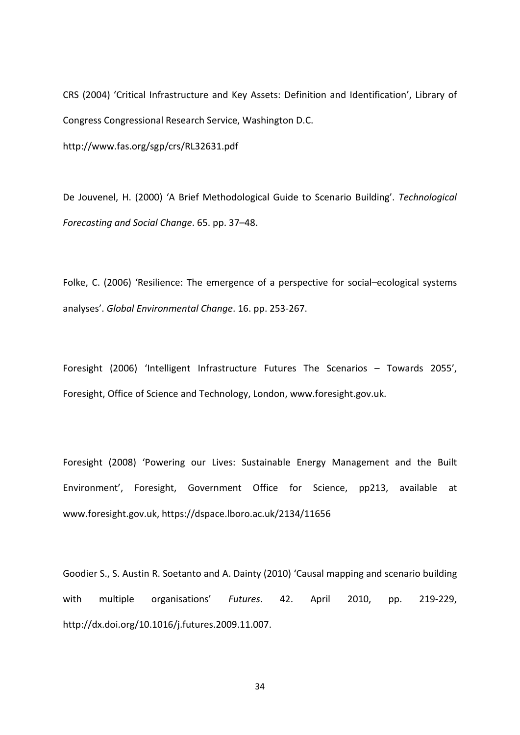CRS (2004) 'Critical Infrastructure and Key Assets: Definition and Identification', Library of Congress Congressional Research Service, Washington D.C.

http://www.fas.org/sgp/crs/RL32631.pdf

De Jouvenel, H. (2000) 'A Brief Methodological Guide to Scenario Building'. *Technological Forecasting and Social Change*. 65. pp. 37–48.

Folke, C. (2006) 'Resilience: The emergence of a perspective for social–ecological systems analyses'. *Global Environmental Change*. 16. pp. 253-267.

Foresight (2006) 'Intelligent Infrastructure Futures The Scenarios – Towards 2055', Foresight, Office of Science and Technology, London, www.foresight.gov.uk.

Foresight (2008) 'Powering our Lives: Sustainable Energy Management and the Built Environment', Foresight, Government Office for Science, pp213, available at www.foresight.gov.uk, https://dspace.lboro.ac.uk/2134/11656

Goodier S., S. Austin R. Soetanto and A. Dainty (2010) 'Causal mapping and scenario building with multiple organisations' *Futures*. 42. April 2010, pp. 219-229, http://dx.doi.org/10.1016/j.futures.2009.11.007.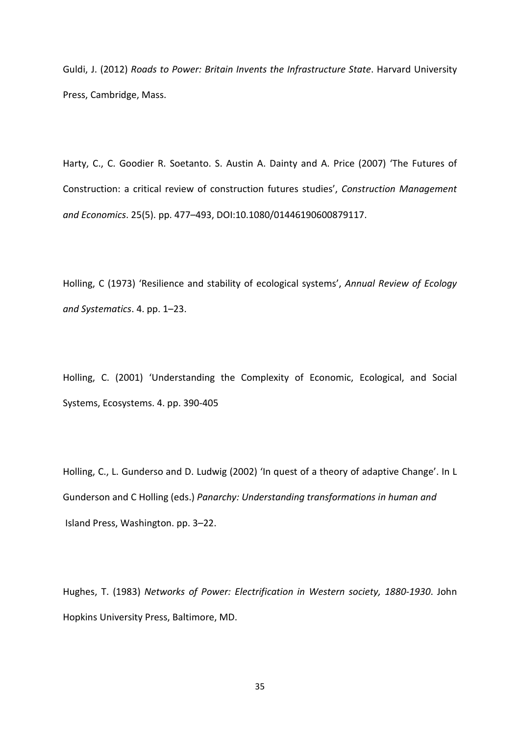Guldi, J. (2012) *Roads to Power: Britain Invents the Infrastructure State*. Harvard University Press, Cambridge, Mass.

Harty, C., C. Goodier R. Soetanto. S. Austin A. Dainty and A. Price (2007) 'The Futures of Construction: a critical review of construction futures studies', *Construction Management and Economics*. 25(5). pp. 477–493, DOI:10.1080/01446190600879117.

Holling, C (1973) 'Resilience and stability of ecological systems', *Annual Review of Ecology and Systematics*. 4. pp. 1–23.

Holling, C. (2001) 'Understanding the Complexity of Economic, Ecological, and Social Systems, Ecosystems. 4. pp. 390-405

Holling, C., L. Gunderso and D. Ludwig (2002) 'In quest of a theory of adaptive Change'. In L Gunderson and C Holling (eds.) *Panarchy: Understanding transformations in human and*  Island Press, Washington. pp. 3–22.

Hughes, T. (1983) *Networks of Power: Electrification in Western society, 1880-1930*. John Hopkins University Press, Baltimore, MD.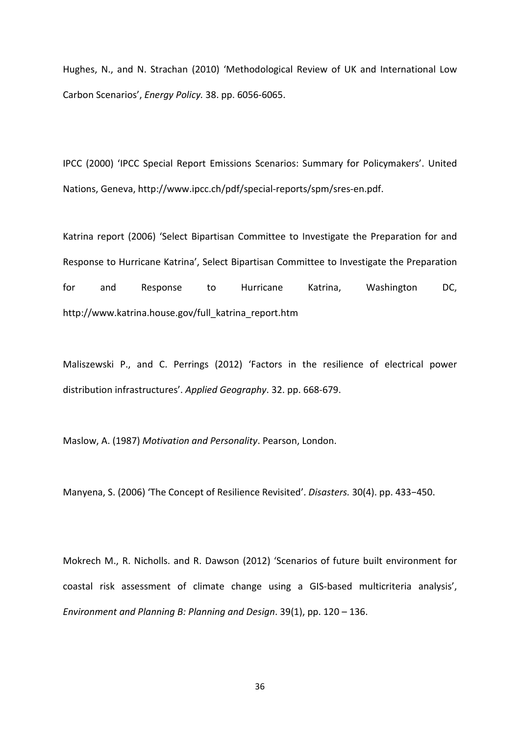Hughes, N., and N. Strachan (2010) 'Methodological Review of UK and International Low Carbon Scenarios', *Energy Policy.* 38. pp. 6056-6065.

IPCC (2000) 'IPCC Special Report Emissions Scenarios: Summary for Policymakers'. United Nations, Geneva, http://www.ipcc.ch/pdf/special-reports/spm/sres-en.pdf.

Katrina report (2006) 'Select Bipartisan Committee to Investigate the Preparation for and Response to Hurricane Katrina', Select Bipartisan Committee to Investigate the Preparation for and Response to Hurricane Katrina, Washington DC, http://www.katrina.house.gov/full\_katrina\_report.htm

Maliszewski P., and C. Perrings (2012) 'Factors in the resilience of electrical power distribution infrastructures'. *Applied Geography*. 32. pp. 668-679.

Maslow, A. (1987) *Motivation and Personality*. Pearson, London.

Manyena, S. (2006) 'The Concept of Resilience Revisited'. *Disasters.* 30(4). pp. 433−450.

Mokrech M., R. Nicholls. and R. Dawson (2012) 'Scenarios of future built environment for coastal risk assessment of climate change using a GIS-based multicriteria analysis', *Environment and Planning B: Planning and Design*. 39(1), pp. 120 – 136.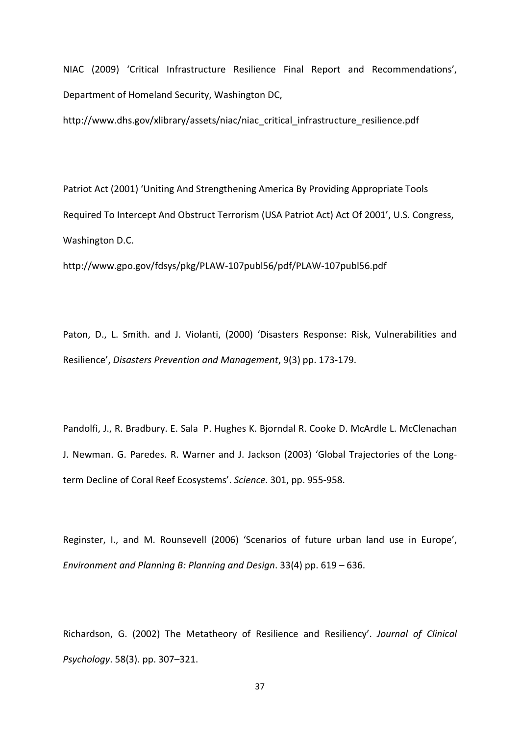NIAC (2009) 'Critical Infrastructure Resilience Final Report and Recommendations', Department of Homeland Security, Washington DC,

http://www.dhs.gov/xlibrary/assets/niac/niac\_critical\_infrastructure\_resilience.pdf

Patriot Act (2001) 'Uniting And Strengthening America By Providing Appropriate Tools Required To Intercept And Obstruct Terrorism (USA Patriot Act) Act Of 2001', U.S. Congress, Washington D.C.

http://www.gpo.gov/fdsys/pkg/PLAW-107publ56/pdf/PLAW-107publ56.pdf

Paton, D., L. Smith. and J. Violanti, (2000) 'Disasters Response: Risk, Vulnerabilities and Resilience', *Disasters Prevention and Management*, 9(3) pp. 173-179.

Pandolfi, J., R. Bradbury. E. Sala P. Hughes K. Bjorndal R. Cooke D. McArdle L. McClenachan J. Newman. G. Paredes. R. Warner and J. Jackson (2003) 'Global Trajectories of the Longterm Decline of Coral Reef Ecosystems'. *Science.* 301, pp. 955-958.

Reginster, I., and M. Rounsevell (2006) 'Scenarios of future urban land use in Europe', *Environment and Planning B: Planning and Design*. 33(4) pp. 619 – 636.

Richardson, G. (2002) The Metatheory of Resilience and Resiliency'. *Journal of Clinical Psychology*. 58(3). pp. 307–321.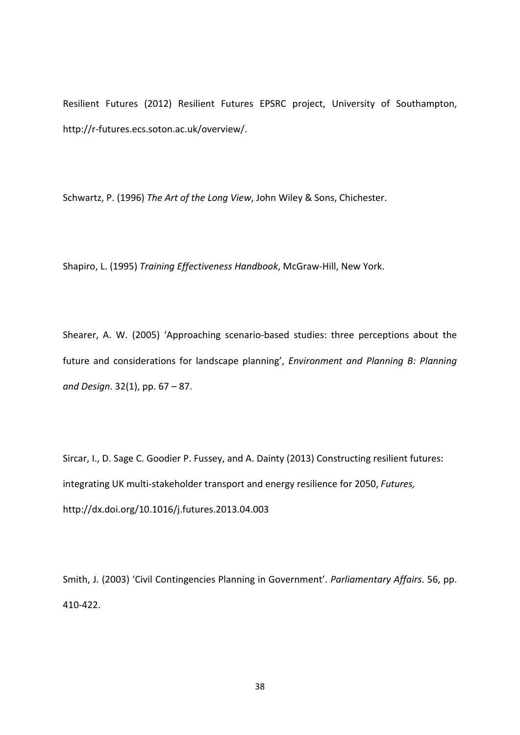Resilient Futures (2012) Resilient Futures EPSRC project, University of Southampton, http://r-futures.ecs.soton.ac.uk/overview/.

Schwartz, P. (1996) *The Art of the Long View*, John Wiley & Sons, Chichester.

Shapiro, L. (1995) *Training Effectiveness Handbook*, McGraw-Hill, New York.

Shearer, A. W. (2005) 'Approaching scenario-based studies: three perceptions about the future and considerations for landscape planning', *Environment and Planning B: Planning and Design*. 32(1), pp. 67 – 87.

Sircar, I., D. Sage C. Goodier P. Fussey, and A. Dainty (2013) Constructing resilient futures: integrating UK multi-stakeholder transport and energy resilience for 2050, *Futures,*  <http://dx.doi.org/10.1016/j.futures.2013.04.003>

Smith, J. (2003) 'Civil Contingencies Planning in Government'. *Parliamentary Affairs*. 56, pp. 410-422.